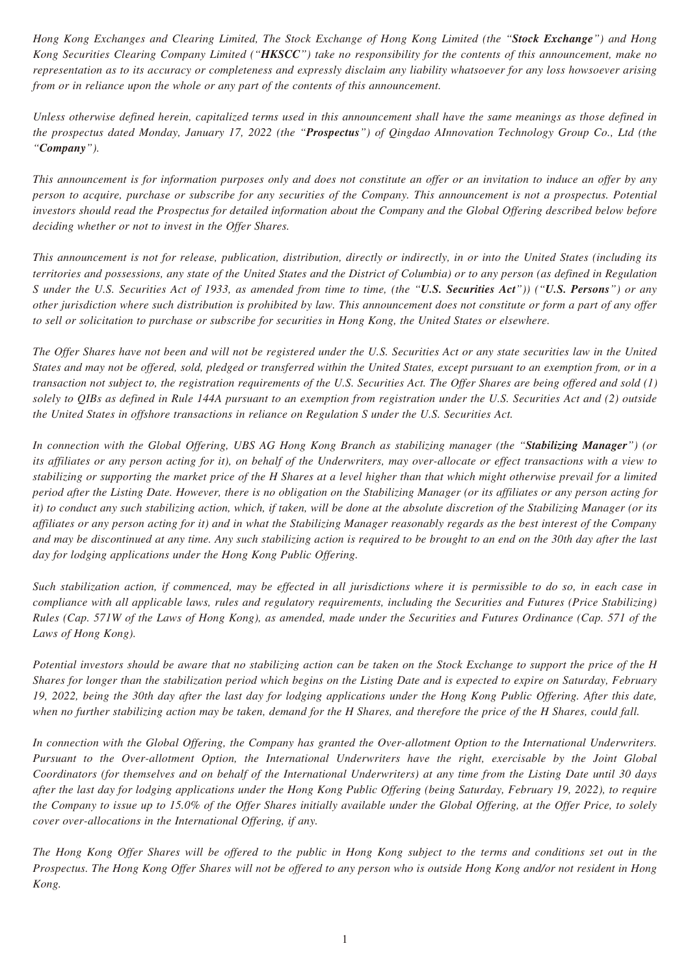*Hong Kong Exchanges and Clearing Limited, The Stock Exchange of Hong Kong Limited (the "Stock Exchange") and Hong Kong Securities Clearing Company Limited ("HKSCC") take no responsibility for the contents of this announcement, make no representation as to its accuracy or completeness and expressly disclaim any liability whatsoever for any loss howsoever arising from or in reliance upon the whole or any part of the contents of this announcement.*

*Unless otherwise defined herein, capitalized terms used in this announcement shall have the same meanings as those defined in the prospectus dated Monday, January 17, 2022 (the "Prospectus") of Qingdao AInnovation Technology Group Co., Ltd (the "Company").*

*This announcement is for information purposes only and does not constitute an offer or an invitation to induce an offer by any person to acquire, purchase or subscribe for any securities of the Company. This announcement is not a prospectus. Potential investors should read the Prospectus for detailed information about the Company and the Global Offering described below before deciding whether or not to invest in the Offer Shares.*

*This announcement is not for release, publication, distribution, directly or indirectly, in or into the United States (including its territories and possessions, any state of the United States and the District of Columbia) or to any person (as defined in Regulation S under the U.S. Securities Act of 1933, as amended from time to time, (the "U.S. Securities Act")) ("U.S. Persons") or any other jurisdiction where such distribution is prohibited by law. This announcement does not constitute or form a part of any offer to sell or solicitation to purchase or subscribe for securities in Hong Kong, the United States or elsewhere.*

*The Offer Shares have not been and will not be registered under the U.S. Securities Act or any state securities law in the United States and may not be offered, sold, pledged or transferred within the United States, except pursuant to an exemption from, or in a transaction not subject to, the registration requirements of the U.S. Securities Act. The Offer Shares are being offered and sold (1) solely to QIBs as defined in Rule 144A pursuant to an exemption from registration under the U.S. Securities Act and (2) outside the United States in offshore transactions in reliance on Regulation S under the U.S. Securities Act.*

*In connection with the Global Offering, UBS AG Hong Kong Branch as stabilizing manager (the "Stabilizing Manager") (or its affiliates or any person acting for it), on behalf of the Underwriters, may over-allocate or effect transactions with a view to stabilizing or supporting the market price of the H Shares at a level higher than that which might otherwise prevail for a limited period after the Listing Date. However, there is no obligation on the Stabilizing Manager (or its affiliates or any person acting for it) to conduct any such stabilizing action, which, if taken, will be done at the absolute discretion of the Stabilizing Manager (or its affiliates or any person acting for it) and in what the Stabilizing Manager reasonably regards as the best interest of the Company and may be discontinued at any time. Any such stabilizing action is required to be brought to an end on the 30th day after the last day for lodging applications under the Hong Kong Public Offering.*

*Such stabilization action, if commenced, may be effected in all jurisdictions where it is permissible to do so, in each case in compliance with all applicable laws, rules and regulatory requirements, including the Securities and Futures (Price Stabilizing) Rules (Cap. 571W of the Laws of Hong Kong), as amended, made under the Securities and Futures Ordinance (Cap. 571 of the Laws of Hong Kong).*

*Potential investors should be aware that no stabilizing action can be taken on the Stock Exchange to support the price of the H Shares for longer than the stabilization period which begins on the Listing Date and is expected to expire on Saturday, February 19, 2022, being the 30th day after the last day for lodging applications under the Hong Kong Public Offering. After this date, when no further stabilizing action may be taken, demand for the H Shares, and therefore the price of the H Shares, could fall.*

*In connection with the Global Offering, the Company has granted the Over-allotment Option to the International Underwriters. Pursuant to the Over-allotment Option, the International Underwriters have the right, exercisable by the Joint Global Coordinators (for themselves and on behalf of the International Underwriters) at any time from the Listing Date until 30 days after the last day for lodging applications under the Hong Kong Public Offering (being Saturday, February 19, 2022), to require the Company to issue up to 15.0% of the Offer Shares initially available under the Global Offering, at the Offer Price, to solely cover over-allocations in the International Offering, if any.*

*The Hong Kong Offer Shares will be offered to the public in Hong Kong subject to the terms and conditions set out in the Prospectus. The Hong Kong Offer Shares will not be offered to any person who is outside Hong Kong and/or not resident in Hong Kong.*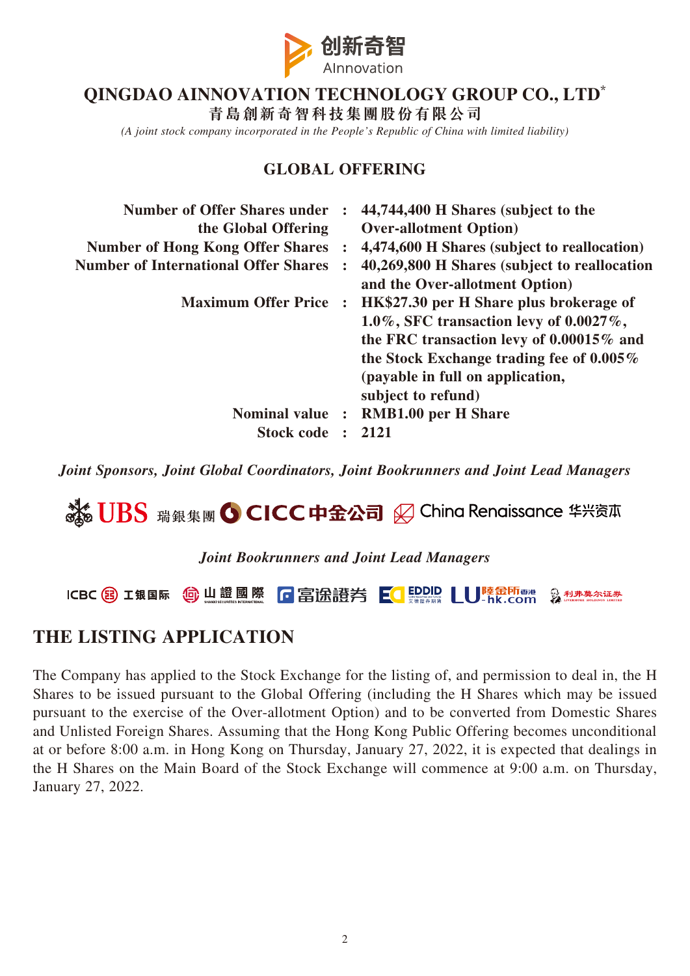

## **QINGDAO AINNOVATION TECHNOLOGY GROUP CO., LTD\***

**青島創新奇智科技集團股份有限公司**

*(A joint stock company incorporated in the People's Republic of China with limited liability)*

### **GLOBAL OFFERING**

| <b>Number of Offer Shares under</b><br>the Global Offering | $\ddot{\cdot}$       | 44,744,400 H Shares (subject to the<br><b>Over-allotment Option</b> ) |
|------------------------------------------------------------|----------------------|-----------------------------------------------------------------------|
| <b>Number of Hong Kong Offer Shares</b>                    |                      | 4,474,600 H Shares (subject to reallocation)                          |
| <b>Number of International Offer Shares</b>                |                      | 40,269,800 H Shares (subject to reallocation                          |
|                                                            |                      | and the Over-allotment Option)                                        |
| <b>Maximum Offer Price</b>                                 | $\ddot{\phantom{a}}$ | HK\$27.30 per H Share plus brokerage of                               |
|                                                            |                      | 1.0%, SFC transaction levy of $0.0027\%$ ,                            |
|                                                            |                      | the FRC transaction levy of 0.00015% and                              |
|                                                            |                      | the Stock Exchange trading fee of $0.005\%$                           |
|                                                            |                      | (payable in full on application,                                      |
|                                                            |                      | subject to refund)                                                    |
| <b>Nominal value</b>                                       | $\ddot{\cdot}$       | <b>RMB1.00 per H Share</b>                                            |
| <b>Stock code</b>                                          |                      | 2121                                                                  |

*Joint Sponsors, Joint Global Coordinators, Joint Bookrunners and Joint Lead Managers*



#### *Joint Bookrunners and Joint Lead Managers*



## **THE LISTING APPLICATION**

The Company has applied to the Stock Exchange for the listing of, and permission to deal in, the H Shares to be issued pursuant to the Global Offering (including the H Shares which may be issued pursuant to the exercise of the Over-allotment Option) and to be converted from Domestic Shares and Unlisted Foreign Shares. Assuming that the Hong Kong Public Offering becomes unconditional at or before 8:00 a.m. in Hong Kong on Thursday, January 27, 2022, it is expected that dealings in the H Shares on the Main Board of the Stock Exchange will commence at 9:00 a.m. on Thursday, January 27, 2022.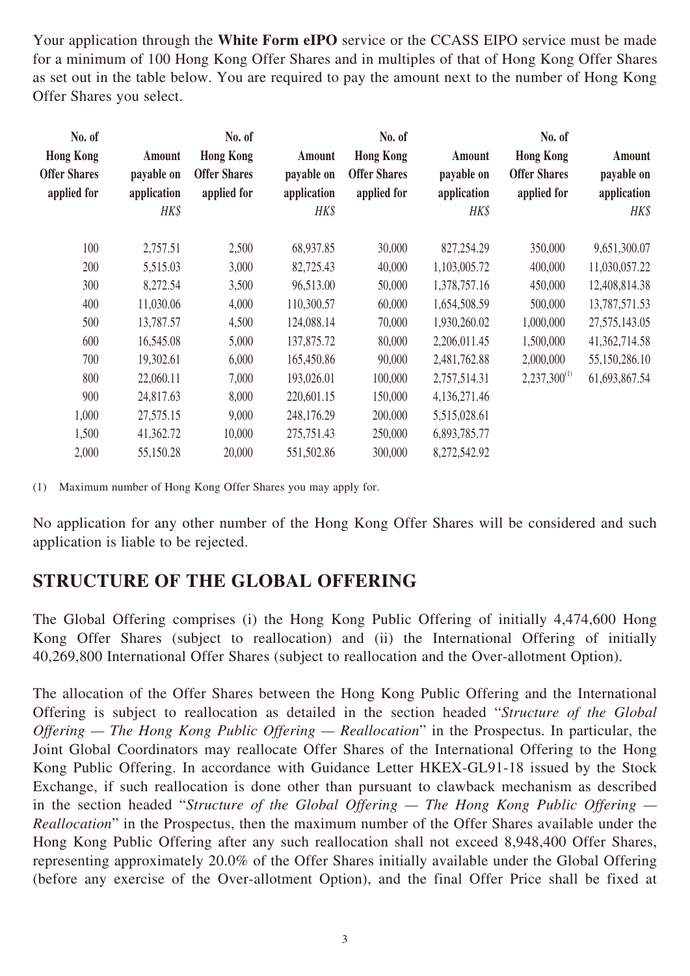Your application through the **White Form eIPO** service or the CCASS EIPO service must be made for a minimum of 100 Hong Kong Offer Shares and in multiples of that of Hong Kong Offer Shares as set out in the table below. You are required to pay the amount next to the number of Hong Kong Offer Shares you select.

| No. of<br><b>Hong Kong</b><br><b>Offer Shares</b><br>applied for | Amount<br>payable on<br>application<br>HK\$ | No. of<br><b>Hong Kong</b><br><b>Offer Shares</b><br>applied for | Amount<br>payable on<br>application<br>HK\$ | No. of<br><b>Hong Kong</b><br><b>Offer Shares</b><br>applied for | Amount<br>payable on<br>application<br>HK\$ | No. of<br><b>Hong Kong</b><br><b>Offer Shares</b><br>applied for | Amount<br>payable on<br>application<br>HK\$ |
|------------------------------------------------------------------|---------------------------------------------|------------------------------------------------------------------|---------------------------------------------|------------------------------------------------------------------|---------------------------------------------|------------------------------------------------------------------|---------------------------------------------|
| 100                                                              | 2,757.51                                    | 2,500                                                            | 68,937.85                                   | 30,000                                                           | 827,254.29                                  | 350,000                                                          | 9,651,300.07                                |
| 200                                                              | 5,515.03                                    | 3,000                                                            | 82,725.43                                   | 40,000                                                           | 1,103,005.72                                | 400,000                                                          | 11,030,057.22                               |
| 300                                                              | 8,272.54                                    | 3,500                                                            | 96,513.00                                   | 50,000                                                           | 1,378,757.16                                | 450,000                                                          | 12,408,814.38                               |
| 400                                                              | 11,030.06                                   | 4,000                                                            | 110,300.57                                  | 60,000                                                           | 1,654,508.59                                | 500,000                                                          | 13,787,571.53                               |
| 500                                                              | 13,787.57                                   | 4,500                                                            | 124,088.14                                  | 70,000                                                           | 1,930,260.02                                | 1,000,000                                                        | 27, 575, 143.05                             |
| 600                                                              | 16,545.08                                   | 5,000                                                            | 137,875.72                                  | 80,000                                                           | 2,206,011.45                                | 1,500,000                                                        | 41,362,714.58                               |
| 700                                                              | 19,302.61                                   | 6,000                                                            | 165,450.86                                  | 90,000                                                           | 2,481,762.88                                | 2,000,000                                                        | 55,150,286.10                               |
| 800                                                              | 22,060.11                                   | 7,000                                                            | 193,026.01                                  | 100,000                                                          | 2,757,514.31                                | $2,237,300^{(1)}$                                                | 61,693,867.54                               |
| 900                                                              | 24,817.63                                   | 8,000                                                            | 220,601.15                                  | 150,000                                                          | 4,136,271.46                                |                                                                  |                                             |
| 1,000                                                            | 27,575.15                                   | 9,000                                                            | 248,176.29                                  | 200,000                                                          | 5,515,028.61                                |                                                                  |                                             |
| 1,500                                                            | 41,362.72                                   | 10,000                                                           | 275,751.43                                  | 250,000                                                          | 6,893,785.77                                |                                                                  |                                             |
| 2,000                                                            | 55,150.28                                   | 20,000                                                           | 551,502.86                                  | 300,000                                                          | 8,272,542.92                                |                                                                  |                                             |

(1) Maximum number of Hong Kong Offer Shares you may apply for.

No application for any other number of the Hong Kong Offer Shares will be considered and such application is liable to be rejected.

## **STRUCTURE OF THE GLOBAL OFFERING**

The Global Offering comprises (i) the Hong Kong Public Offering of initially 4,474,600 Hong Kong Offer Shares (subject to reallocation) and (ii) the International Offering of initially 40,269,800 International Offer Shares (subject to reallocation and the Over-allotment Option).

The allocation of the Offer Shares between the Hong Kong Public Offering and the International Offering is subject to reallocation as detailed in the section headed "*Structure of the Global Offering — The Hong Kong Public Offering — Reallocation*" in the Prospectus. In particular, the Joint Global Coordinators may reallocate Offer Shares of the International Offering to the Hong Kong Public Offering. In accordance with Guidance Letter HKEX-GL91-18 issued by the Stock Exchange, if such reallocation is done other than pursuant to clawback mechanism as described in the section headed "*Structure of the Global Offering — The Hong Kong Public Offering — Reallocation*" in the Prospectus, then the maximum number of the Offer Shares available under the Hong Kong Public Offering after any such reallocation shall not exceed 8,948,400 Offer Shares, representing approximately 20.0% of the Offer Shares initially available under the Global Offering (before any exercise of the Over-allotment Option), and the final Offer Price shall be fixed at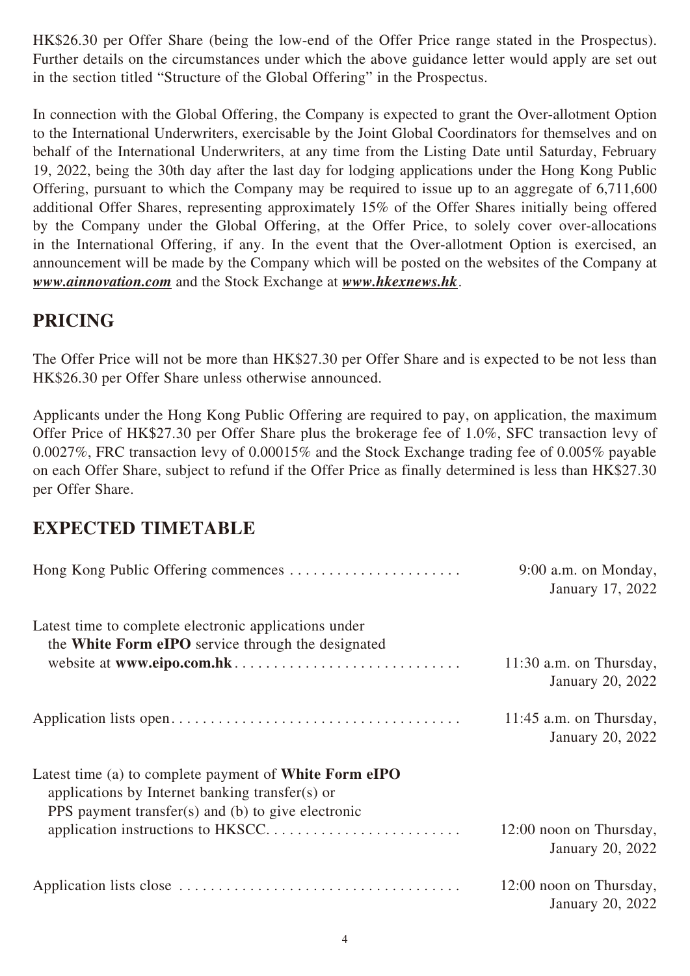HK\$26.30 per Offer Share (being the low-end of the Offer Price range stated in the Prospectus). Further details on the circumstances under which the above guidance letter would apply are set out in the section titled "Structure of the Global Offering" in the Prospectus.

In connection with the Global Offering, the Company is expected to grant the Over-allotment Option to the International Underwriters, exercisable by the Joint Global Coordinators for themselves and on behalf of the International Underwriters, at any time from the Listing Date until Saturday, February 19, 2022, being the 30th day after the last day for lodging applications under the Hong Kong Public Offering, pursuant to which the Company may be required to issue up to an aggregate of 6,711,600 additional Offer Shares, representing approximately 15% of the Offer Shares initially being offered by the Company under the Global Offering, at the Offer Price, to solely cover over-allocations in the International Offering, if any. In the event that the Over-allotment Option is exercised, an announcement will be made by the Company which will be posted on the websites of the Company at *www.ainnovation.com* and the Stock Exchange at *www.hkexnews.hk*.

# **PRICING**

The Offer Price will not be more than HK\$27.30 per Offer Share and is expected to be not less than HK\$26.30 per Offer Share unless otherwise announced.

Applicants under the Hong Kong Public Offering are required to pay, on application, the maximum Offer Price of HK\$27.30 per Offer Share plus the brokerage fee of 1.0%, SFC transaction levy of 0.0027%, FRC transaction levy of 0.00015% and the Stock Exchange trading fee of 0.005% payable on each Offer Share, subject to refund if the Offer Price as finally determined is less than HK\$27.30 per Offer Share.

# **EXPECTED TIMETABLE**

|                                                                                                                                                                        | $9:00$ a.m. on Monday,<br>January 17, 2022    |
|------------------------------------------------------------------------------------------------------------------------------------------------------------------------|-----------------------------------------------|
| Latest time to complete electronic applications under<br>the White Form eIPO service through the designated                                                            |                                               |
|                                                                                                                                                                        | $11:30$ a.m. on Thursday,<br>January 20, 2022 |
|                                                                                                                                                                        | $11:45$ a.m. on Thursday,<br>January 20, 2022 |
| Latest time (a) to complete payment of <b>White Form eIPO</b><br>applications by Internet banking transfer(s) or<br>PPS payment transfer(s) and (b) to give electronic |                                               |
|                                                                                                                                                                        | 12:00 noon on Thursday,<br>January 20, 2022   |
|                                                                                                                                                                        | 12:00 noon on Thursday,<br>January 20, 2022   |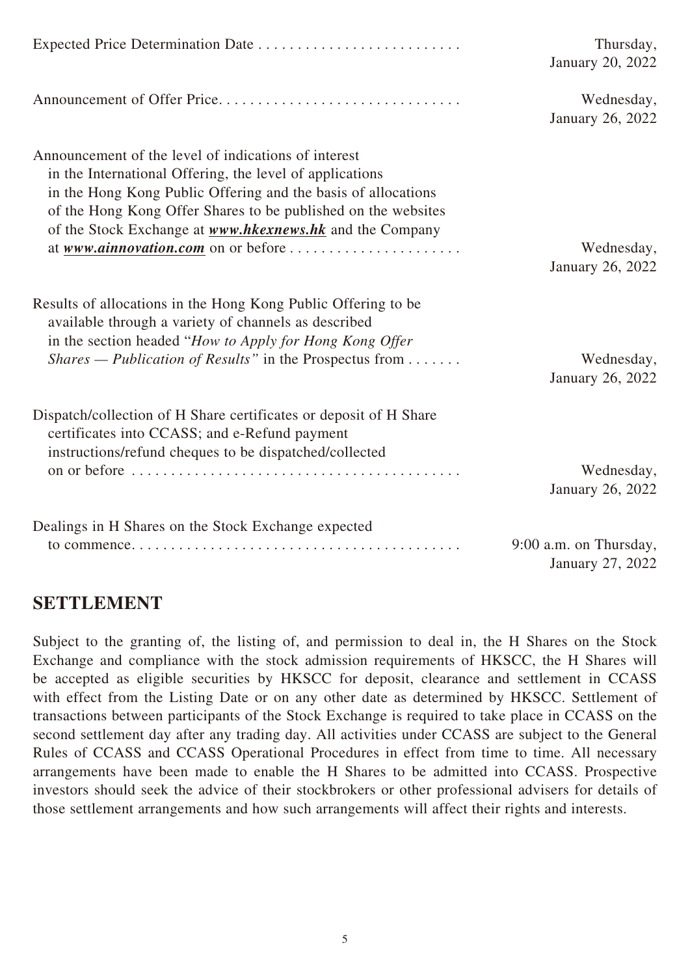|                                                                                                                                                                                                                                                                                                                       | Thursday,<br>January 20, 2022              |
|-----------------------------------------------------------------------------------------------------------------------------------------------------------------------------------------------------------------------------------------------------------------------------------------------------------------------|--------------------------------------------|
|                                                                                                                                                                                                                                                                                                                       | Wednesday,<br>January 26, 2022             |
| Announcement of the level of indications of interest<br>in the International Offering, the level of applications<br>in the Hong Kong Public Offering and the basis of allocations<br>of the Hong Kong Offer Shares to be published on the websites<br>of the Stock Exchange at <b>www.hkexnews.hk</b> and the Company | Wednesday,<br>January 26, 2022             |
| Results of allocations in the Hong Kong Public Offering to be<br>available through a variety of channels as described<br>in the section headed "How to Apply for Hong Kong Offer<br><i>Shares — Publication of Results</i> " in the Prospectus from                                                                   | Wednesday,<br>January 26, 2022             |
| Dispatch/collection of H Share certificates or deposit of H Share<br>certificates into CCASS; and e-Refund payment<br>instructions/refund cheques to be dispatched/collected                                                                                                                                          | Wednesday,<br>January 26, 2022             |
| Dealings in H Shares on the Stock Exchange expected                                                                                                                                                                                                                                                                   | 9:00 a.m. on Thursday,<br>January 27, 2022 |

## **SETTLEMENT**

Subject to the granting of, the listing of, and permission to deal in, the H Shares on the Stock Exchange and compliance with the stock admission requirements of HKSCC, the H Shares will be accepted as eligible securities by HKSCC for deposit, clearance and settlement in CCASS with effect from the Listing Date or on any other date as determined by HKSCC. Settlement of transactions between participants of the Stock Exchange is required to take place in CCASS on the second settlement day after any trading day. All activities under CCASS are subject to the General Rules of CCASS and CCASS Operational Procedures in effect from time to time. All necessary arrangements have been made to enable the H Shares to be admitted into CCASS. Prospective investors should seek the advice of their stockbrokers or other professional advisers for details of those settlement arrangements and how such arrangements will affect their rights and interests.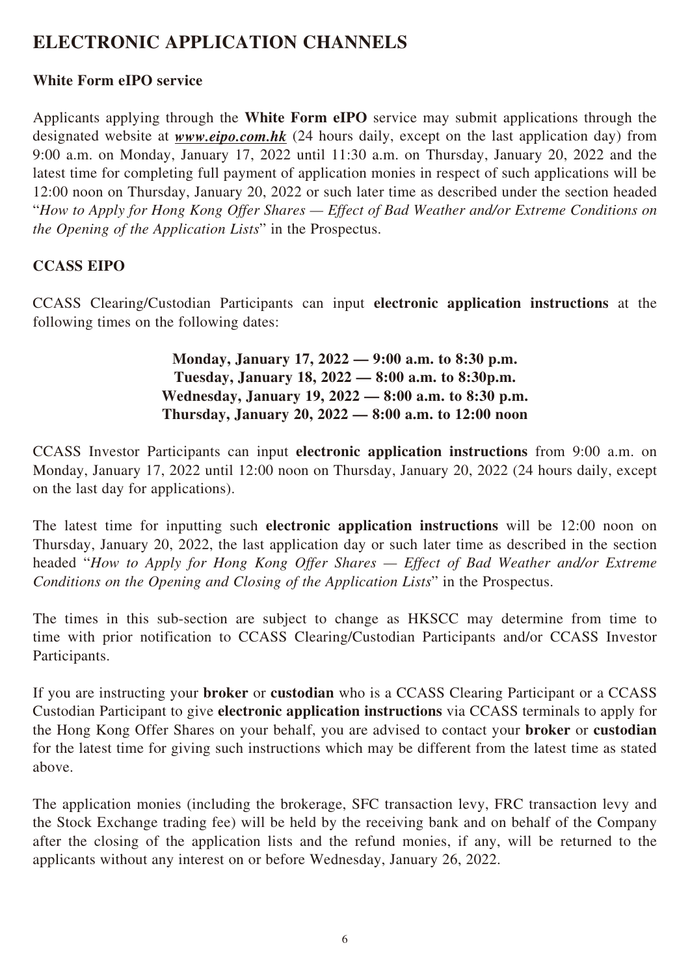# **ELECTRONIC APPLICATION CHANNELS**

### **White Form eIPO service**

Applicants applying through the **White Form eIPO** service may submit applications through the designated website at *www.eipo.com.hk* (24 hours daily, except on the last application day) from 9:00 a.m. on Monday, January 17, 2022 until 11:30 a.m. on Thursday, January 20, 2022 and the latest time for completing full payment of application monies in respect of such applications will be 12:00 noon on Thursday, January 20, 2022 or such later time as described under the section headed "*How to Apply for Hong Kong Offer Shares — Effect of Bad Weather and/or Extreme Conditions on the Opening of the Application Lists*" in the Prospectus.

### **CCASS EIPO**

CCASS Clearing/Custodian Participants can input **electronic application instructions** at the following times on the following dates:

> **Monday, January 17, 2022 — 9:00 a.m. to 8:30 p.m. Tuesday, January 18, 2022 — 8:00 a.m. to 8:30p.m. Wednesday, January 19, 2022 — 8:00 a.m. to 8:30 p.m. Thursday, January 20, 2022 — 8:00 a.m. to 12:00 noon**

CCASS Investor Participants can input **electronic application instructions** from 9:00 a.m. on Monday, January 17, 2022 until 12:00 noon on Thursday, January 20, 2022 (24 hours daily, except on the last day for applications).

The latest time for inputting such **electronic application instructions** will be 12:00 noon on Thursday, January 20, 2022, the last application day or such later time as described in the section headed "*How to Apply for Hong Kong Offer Shares — Effect of Bad Weather and/or Extreme Conditions on the Opening and Closing of the Application Lists*" in the Prospectus.

The times in this sub-section are subject to change as HKSCC may determine from time to time with prior notification to CCASS Clearing/Custodian Participants and/or CCASS Investor Participants.

If you are instructing your **broker** or **custodian** who is a CCASS Clearing Participant or a CCASS Custodian Participant to give **electronic application instructions** via CCASS terminals to apply for the Hong Kong Offer Shares on your behalf, you are advised to contact your **broker** or **custodian** for the latest time for giving such instructions which may be different from the latest time as stated above.

The application monies (including the brokerage, SFC transaction levy, FRC transaction levy and the Stock Exchange trading fee) will be held by the receiving bank and on behalf of the Company after the closing of the application lists and the refund monies, if any, will be returned to the applicants without any interest on or before Wednesday, January 26, 2022.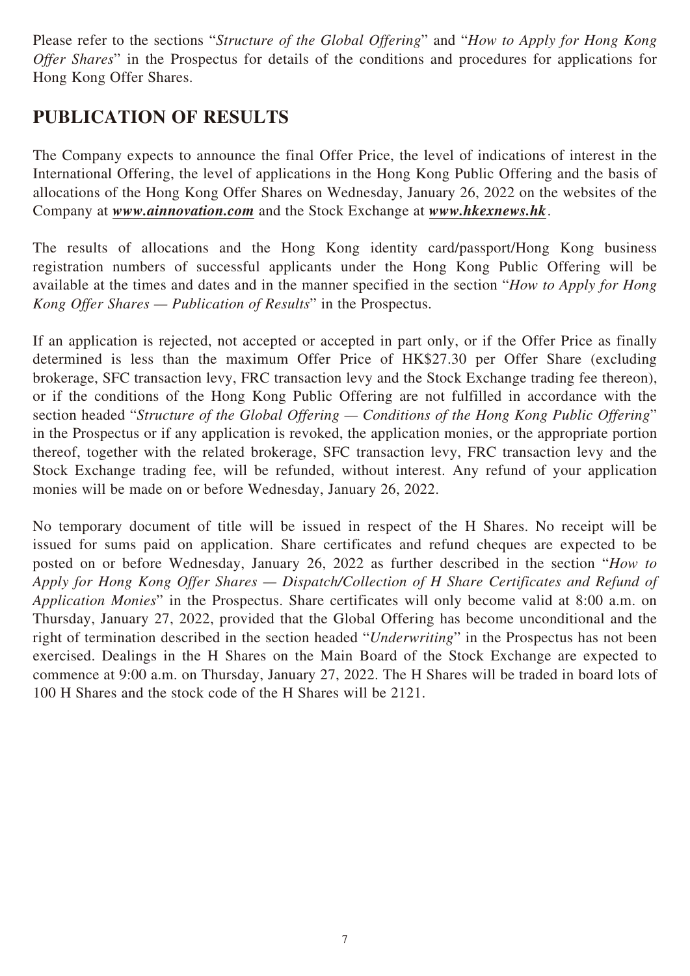Please refer to the sections "*Structure of the Global Offering*" and "*How to Apply for Hong Kong Offer Shares*" in the Prospectus for details of the conditions and procedures for applications for Hong Kong Offer Shares.

# **PUBLICATION OF RESULTS**

The Company expects to announce the final Offer Price, the level of indications of interest in the International Offering, the level of applications in the Hong Kong Public Offering and the basis of allocations of the Hong Kong Offer Shares on Wednesday, January 26, 2022 on the websites of the Company at *www.ainnovation.com* and the Stock Exchange at *www.hkexnews.hk*.

The results of allocations and the Hong Kong identity card/passport/Hong Kong business registration numbers of successful applicants under the Hong Kong Public Offering will be available at the times and dates and in the manner specified in the section "*How to Apply for Hong Kong Offer Shares — Publication of Results*" in the Prospectus.

If an application is rejected, not accepted or accepted in part only, or if the Offer Price as finally determined is less than the maximum Offer Price of HK\$27.30 per Offer Share (excluding brokerage, SFC transaction levy, FRC transaction levy and the Stock Exchange trading fee thereon), or if the conditions of the Hong Kong Public Offering are not fulfilled in accordance with the section headed "*Structure of the Global Offering — Conditions of the Hong Kong Public Offering*" in the Prospectus or if any application is revoked, the application monies, or the appropriate portion thereof, together with the related brokerage, SFC transaction levy, FRC transaction levy and the Stock Exchange trading fee, will be refunded, without interest. Any refund of your application monies will be made on or before Wednesday, January 26, 2022.

No temporary document of title will be issued in respect of the H Shares. No receipt will be issued for sums paid on application. Share certificates and refund cheques are expected to be posted on or before Wednesday, January 26, 2022 as further described in the section "*How to Apply for Hong Kong Offer Shares — Dispatch/Collection of H Share Certificates and Refund of Application Monies*" in the Prospectus. Share certificates will only become valid at 8:00 a.m. on Thursday, January 27, 2022, provided that the Global Offering has become unconditional and the right of termination described in the section headed "*Underwriting*" in the Prospectus has not been exercised. Dealings in the H Shares on the Main Board of the Stock Exchange are expected to commence at 9:00 a.m. on Thursday, January 27, 2022. The H Shares will be traded in board lots of 100 H Shares and the stock code of the H Shares will be 2121.